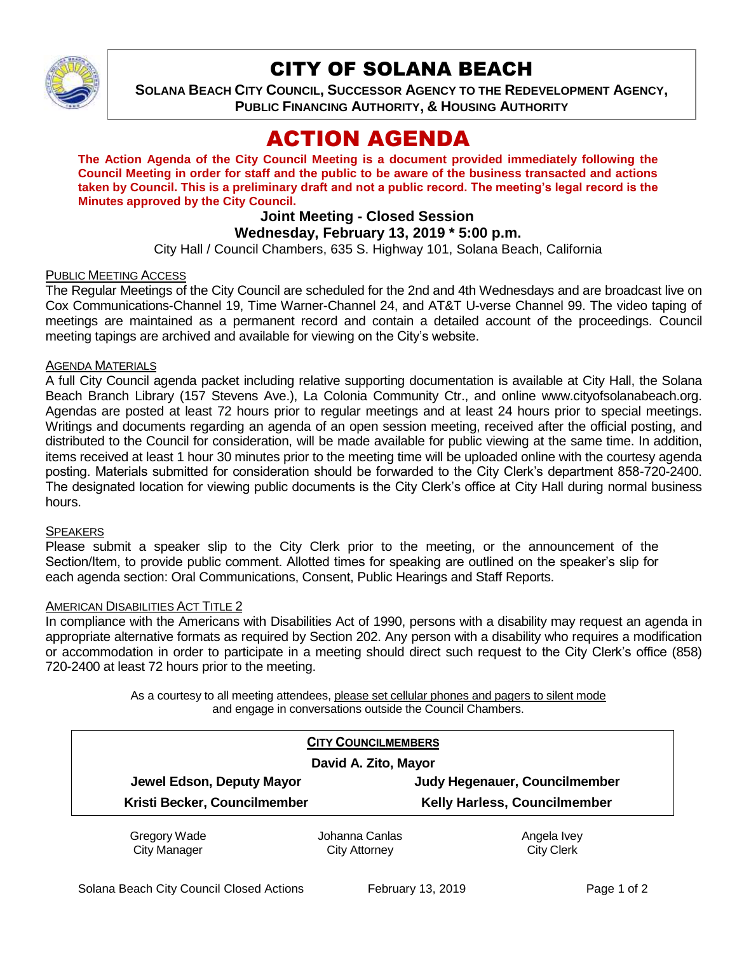

# CITY OF SOLANA BEACH

**SOLANA BEACH CITY COUNCIL, SUCCESSOR AGENCY TO THE REDEVELOPMENT AGENCY, PUBLIC FINANCING AUTHORITY, & HOUSING AUTHORITY** 

# ACTION AGENDA

**The Action Agenda of the City Council Meeting is a document provided immediately following the Council Meeting in order for staff and the public to be aware of the business transacted and actions taken by Council. This is a preliminary draft and not a public record. The meeting's legal record is the Minutes approved by the City Council.**

# **Joint Meeting - Closed Session**

### **Wednesday, February 13, 2019 \* 5:00 p.m.**

City Hall / Council Chambers, 635 S. Highway 101, Solana Beach, California

#### PUBLIC MEETING ACCESS

The Regular Meetings of the City Council are scheduled for the 2nd and 4th Wednesdays and are broadcast live on Cox Communications-Channel 19, Time Warner-Channel 24, and AT&T U-verse Channel 99. The video taping of meetings are maintained as a permanent record and contain a detailed account of the proceedings. Council meeting tapings are archived and available for viewing on the City's website.

#### AGENDA MATERIALS

A full City Council agenda packet including relative supporting documentation is available at City Hall, the Solana Beach Branch Library (157 Stevens Ave.), La Colonia Community Ctr., and online www.cityofsolanabeach.org. Agendas are posted at least 72 hours prior to regular meetings and at least 24 hours prior to special meetings. Writings and documents regarding an agenda of an open session meeting, received after the official posting, and distributed to the Council for consideration, will be made available for public viewing at the same time. In addition, items received at least 1 hour 30 minutes prior to the meeting time will be uploaded online with the courtesy agenda posting. Materials submitted for consideration should be forwarded to the City Clerk's department 858-720-2400. The designated location for viewing public documents is the City Clerk's office at City Hall during normal business hours.

#### **SPEAKERS**

Please submit a speaker slip to the City Clerk prior to the meeting, or the announcement of the Section/Item, to provide public comment. Allotted times for speaking are outlined on the speaker's slip for each agenda section: Oral Communications, Consent, Public Hearings and Staff Reports.

#### AMERICAN DISABILITIES ACT TITLE 2

In compliance with the Americans with Disabilities Act of 1990, persons with a disability may request an agenda in appropriate alternative formats as required by Section 202. Any person with a disability who requires a modification or accommodation in order to participate in a meeting should direct such request to the City Clerk's office (858) 720-2400 at least 72 hours prior to the meeting.

> As a courtesy to all meeting attendees, please set cellular phones and pagers to silent mode and engage in conversations outside the Council Chambers.

|                              | <b>CITY COUNCILMEMBERS</b> |                               |
|------------------------------|----------------------------|-------------------------------|
| David A. Zito, Mayor         |                            |                               |
| Jewel Edson, Deputy Mayor    |                            | Judy Hegenauer, Councilmember |
| Kristi Becker, Councilmember |                            | Kelly Harless, Councilmember  |
| Gregory Wade                 | Johanna Canlas             | Angela Ivey                   |
| <b>City Manager</b>          | City Attorney              | <b>City Clerk</b>             |